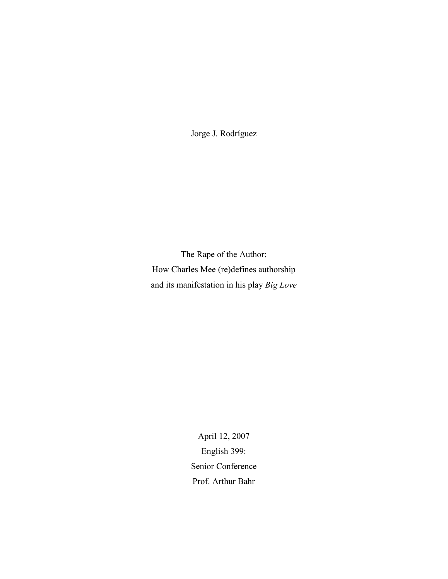Jorge J. Rodríguez

The Rape of the Author: How Charles Mee (re)defines authorship and its manifestation in his play *Big Love*

> April 12, 2007 English 399: Senior Conference Prof. Arthur Bahr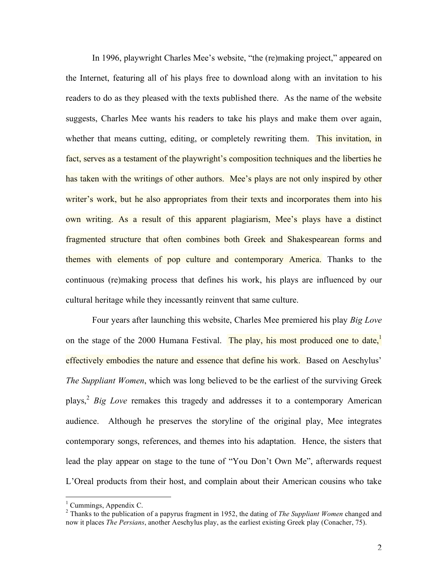In 1996, playwright Charles Mee's website, "the (re)making project," appeared on the Internet, featuring all of his plays free to download along with an invitation to his readers to do as they pleased with the texts published there. As the name of the website suggests, Charles Mee wants his readers to take his plays and make them over again, whether that means cutting, editing, or completely rewriting them. This invitation, in fact, serves as a testament of the playwright's composition techniques and the liberties he has taken with the writings of other authors. Mee's plays are not only inspired by other writer's work, but he also appropriates from their texts and incorporates them into his own writing. As a result of this apparent plagiarism, Mee's plays have a distinct fragmented structure that often combines both Greek and Shakespearean forms and themes with elements of pop culture and contemporary America. Thanks to the continuous (re)making process that defines his work, his plays are influenced by our cultural heritage while they incessantly reinvent that same culture.

Four years after launching this website, Charles Mee premiered his play *Big Love* on the stage of the 2000 Humana Festival. The play, his most produced one to date, effectively embodies the nature and essence that define his work. Based on Aeschylus' *The Suppliant Women*, which was long believed to be the earliest of the surviving Greek plays, <sup>2</sup> *Big Love* remakes this tragedy and addresses it to a contemporary American audience. Although he preserves the storyline of the original play, Mee integrates contemporary songs, references, and themes into his adaptation. Hence, the sisters that lead the play appear on stage to the tune of "You Don't Own Me", afterwards request L'Oreal products from their host, and complain about their American cousins who take

<sup>1</sup> Cummings, Appendix C. <sup>2</sup> Thanks to the publication of <sup>a</sup> papyrus fragment in 1952, the dating of *The Suppliant Women* changed and now it places *The Persians*, another Aeschylus play, as the earliest existing Greek play (Conacher, 75).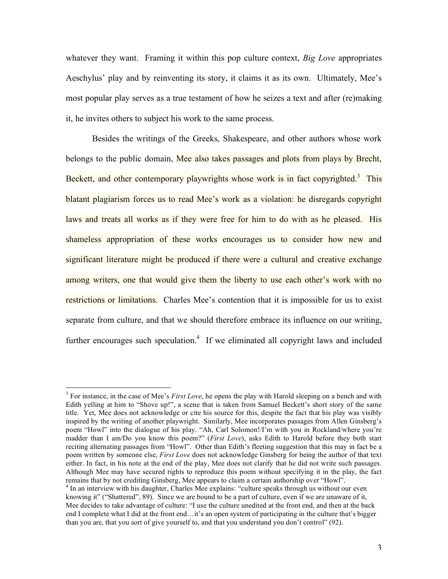whatever they want. Framing it within this pop culture context, *Big Love* appropriates Aeschylus' play and by reinventing its story, it claims it as its own. Ultimately, Mee's most popular play serves as a true testament of how he seizes a text and after (re)making it, he invites others to subject his work to the same process.

Besides the writings of the Greeks, Shakespeare, and other authors whose work belongs to the public domain, Mee also takes passages and plots from plays by Brecht, Beckett, and other contemporary playwrights whose work is in fact copyrighted.<sup>3</sup> This blatant plagiarism forces us to read Mee's work as a violation: he disregards copyright laws and treats all works as if they were free for him to do with as he pleased. His shameless appropriation of these works encourages us to consider how new and significant literature might be produced if there were a cultural and creative exchange among writers, one that would give them the liberty to use each other's work with no restrictions or limitations. Charles Mee's contention that it is impossible for us to exist separate from culture, and that we should therefore embrace its influence on our writing, further encourages such speculation.<sup>4</sup> If we eliminated all copyright laws and included

 <sup>3</sup> For instance, in the case of Mee's *First Love*, he opens the play with Harold sleeping on <sup>a</sup> bench and with Edith yelling at him to "Shove up!", a scene that is taken from Samuel Beckett's short story of the same title. Yet, Mee does not acknowledge or cite his source for this, despite the fact that his play was visibly inspired by the writing of another playwright. Similarly, Mee incorporates passages from Allen Ginsberg's poem "Howl" into the dialogue of his play. "Ah, Carl Solomon!/I'm with you in Rockland/where you're madder than I am/Do you know this poem?" (*First Love*), asks Edith to Harold before they both start reciting alternating passages from "Howl". Other than Edith's fleeting suggestion that this may in fact be a poem written by someone else, *First Love* does not acknowledge Ginsberg for being the author of that text either. In fact, in his note at the end of the play, Mee does not clarify that he did not write such passages. Although Mee may have secured rights to reproduce this poem without specifying it in the play, the fact remains that by not crediting Ginsberg, Mee appears to claim a certain authorship over "Howl".<br><sup>4</sup> In an interview with his daughter, Charles Mee explains: "culture speaks through us without our even

knowing it" ("Shattered", 89). Since we are bound to be a part of culture, even if we are unaware of it, Mee decides to take advantage of culture: "I use the culture unedited at the front end, and then at the back end I complete what I did at the front end…it's an open system of participating in the culture that's bigger than you are, that you sort of give yourself to, and that you understand you don't control" (92).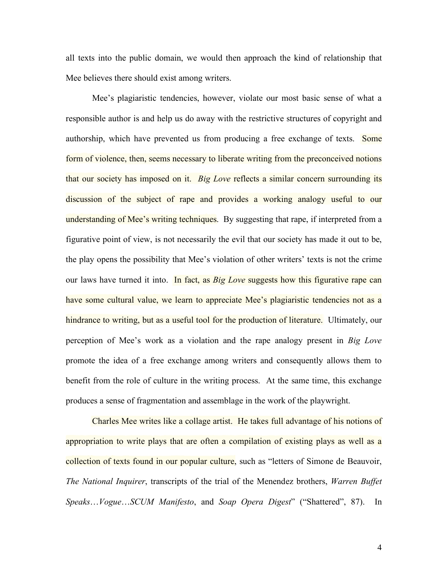all texts into the public domain, we would then approach the kind of relationship that Mee believes there should exist among writers.

Mee's plagiaristic tendencies, however, violate our most basic sense of what a responsible author is and help us do away with the restrictive structures of copyright and authorship, which have prevented us from producing a free exchange of texts. Some form of violence, then, seems necessary to liberate writing from the preconceived notions that our society has imposed on it. *Big Love* reflects a similar concern surrounding its discussion of the subject of rape and provides a working analogy useful to our understanding of Mee's writing techniques. By suggesting that rape, if interpreted from a figurative point of view, is not necessarily the evil that our society has made it out to be, the play opens the possibility that Mee's violation of other writers' texts is not the crime our laws have turned it into. In fact, as *Big Love* suggests how this figurative rape can have some cultural value, we learn to appreciate Mee's plagiaristic tendencies not as a hindrance to writing, but as a useful tool for the production of literature. Ultimately, our perception of Mee's work as a violation and the rape analogy present in *Big Love* promote the idea of a free exchange among writers and consequently allows them to benefit from the role of culture in the writing process. At the same time, this exchange produces a sense of fragmentation and assemblage in the work of the playwright.

Charles Mee writes like a collage artist. He takes full advantage of his notions of appropriation to write plays that are often a compilation of existing plays as well as a collection of texts found in our popular culture, such as "letters of Simone de Beauvoir, *The National Inquirer*, transcripts of the trial of the Menendez brothers, *Warren Buffet Speaks*…*Vogue*…*SCUM Manifesto*, and *Soap Opera Digest*" ("Shattered", 87). In

4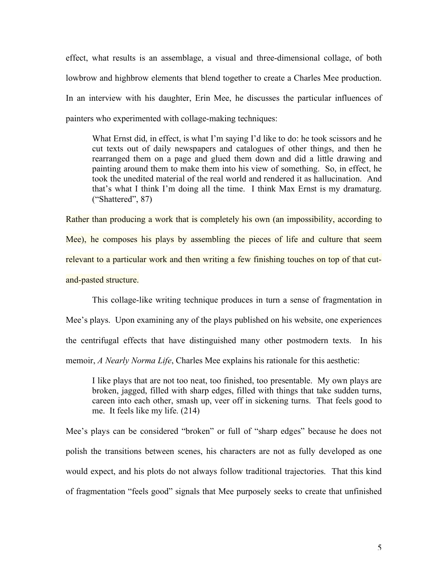effect, what results is an assemblage, a visual and three-dimensional collage, of both lowbrow and highbrow elements that blend together to create a Charles Mee production. In an interview with his daughter, Erin Mee, he discusses the particular influences of painters who experimented with collage-making techniques:

What Ernst did, in effect, is what I'm saying I'd like to do: he took scissors and he cut texts out of daily newspapers and catalogues of other things, and then he rearranged them on a page and glued them down and did a little drawing and painting around them to make them into his view of something. So, in effect, he took the unedited material of the real world and rendered it as hallucination. And that's what I think I'm doing all the time. I think Max Ernst is my dramaturg. ("Shattered", 87)

Rather than producing a work that is completely his own (an impossibility, according to Mee), he composes his plays by assembling the pieces of life and culture that seem relevant to a particular work and then writing a few finishing touches on top of that cutand-pasted structure.

This collage-like writing technique produces in turn a sense of fragmentation in Mee's plays. Upon examining any of the plays published on his website, one experiences the centrifugal effects that have distinguished many other postmodern texts. In his memoir, *A Nearly Norma Life*, Charles Mee explains his rationale for this aesthetic:

I like plays that are not too neat, too finished, too presentable. My own plays are broken, jagged, filled with sharp edges, filled with things that take sudden turns, careen into each other, smash up, veer off in sickening turns. That feels good to me. It feels like my life. (214)

Mee's plays can be considered "broken" or full of "sharp edges" because he does not polish the transitions between scenes, his characters are not as fully developed as one would expect, and his plots do not always follow traditional trajectories. That this kind of fragmentation "feels good" signals that Mee purposely seeks to create that unfinished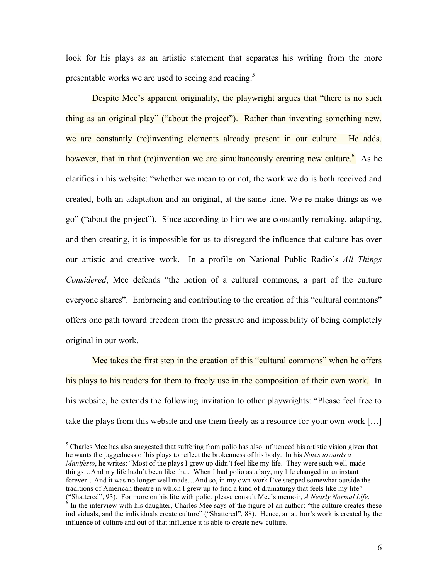look for his plays as an artistic statement that separates his writing from the more presentable works we are used to seeing and reading.<sup>5</sup>

Despite Mee's apparent originality, the playwright argues that "there is no such thing as an original play" ("about the project"). Rather than inventing something new, we are constantly (re)inventing elements already present in our culture. He adds, however, that in that (re)invention we are simultaneously creating new culture.<sup>6</sup> As he clarifies in his website: "whether we mean to or not, the work we do is both received and created, both an adaptation and an original, at the same time. We re-make things as we go" ("about the project"). Since according to him we are constantly remaking, adapting, and then creating, it is impossible for us to disregard the influence that culture has over our artistic and creative work. In a profile on National Public Radio's *All Things Considered*, Mee defends "the notion of a cultural commons, a part of the culture everyone shares". Embracing and contributing to the creation of this "cultural commons" offers one path toward freedom from the pressure and impossibility of being completely original in our work.

Mee takes the first step in the creation of this "cultural commons" when he offers his plays to his readers for them to freely use in the composition of their own work. In his website, he extends the following invitation to other playwrights: "Please feel free to take the plays from this website and use them freely as a resource for your own work […]

<sup>&</sup>lt;sup>5</sup> Charles Mee has also suggested that suffering from polio has also influenced his artistic vision given that he wants the jaggedness of his plays to reflect the brokenness of his body. In his *Notes towards a Manifesto*, he writes: "Most of the plays I grew up didn't feel like my life. They were such well-made things…And my life hadn't been like that. When I had polio as a boy, my life changed in an instant forever…And it was no longer well made…And so, in my own work I've stepped somewhat outside the traditions of American theatre in which I grew up to find a kind of dramaturgy that feels like my life" ("Shattered", 93). For more on his life with polio, please consult Mee's memoir, *A Nearly Normal Life*.<br><sup>6</sup> In the interview with his daughter, Charles Mee says of the figure of an author: "the culture creates these individuals, and the individuals create culture" ("Shattered", 88). Hence, an author's work is created by the influence of culture and out of that influence it is able to create new culture.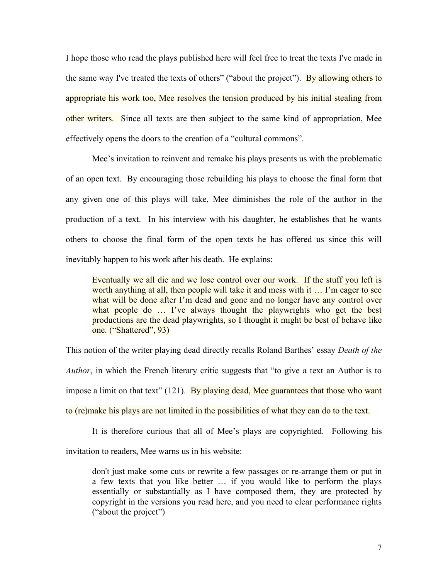I hope those who read the plays published here will feel free to treat the texts I've made in the same way I've treated the texts of others" ("about the project"). By allowing others to appropriate his work too, Mee resolves the tension produced by his initial stealing from other writers. Since all texts are then subject to the same kind of appropriation, Mee effectively opens the doors to the creation of a "cultural commons".

Mee's invitation to reinvent and remake his plays presents us with the problematic of an open text. By encouraging those rebuilding his plays to choose the final form that any given one of this plays will take, Mee diminishes the role of the author in the production of a text. In his interview with his daughter, he establishes that he wants others to choose the final form of the open texts he has offered us since this will inevitably happen to his work after his death. He explains:

Eventually we all die and we lose control over our work. If the stuff you left is worth anything at all, then people will take it and mess with it ... I'm eager to see what will be done after I'm dead and gone and no longer have any control over what people do ... I've always thought the playwrights who get the best productions are the dead playwrights, so I thought it might be best of behave like one. ("Shattered", 93)

This notion of the writer playing dead directly recalls Roland Barthes' essay *Death of the Author*, in which the French literary critic suggests that "to give a text an Author is to impose a limit on that text"  $(121)$ . By playing dead, Mee guarantees that those who want to (re)make his plays are not limited in the possibilities of what they can do to the text.

It is therefore curious that all of Mee's plays are copyrighted. Following his invitation to readers, Mee warns us in his website:

don't just make some cuts or rewrite a few passages or re-arrange them or put in a few texts that you like better … if you would like to perform the plays essentially or substantially as I have composed them, they are protected by copyright in the versions you read here, and you need to clear performance rights ("about the project")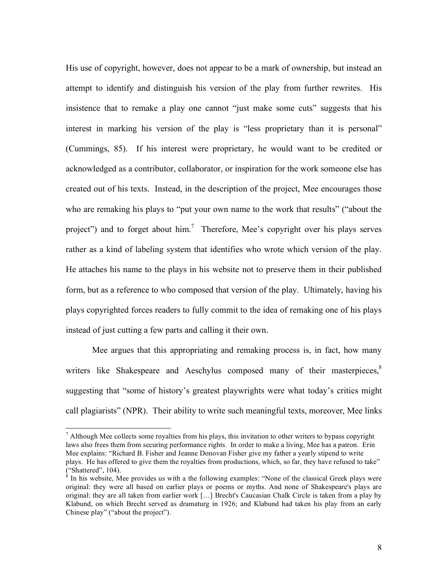His use of copyright, however, does not appear to be a mark of ownership, but instead an attempt to identify and distinguish his version of the play from further rewrites. His insistence that to remake a play one cannot "just make some cuts" suggests that his interest in marking his version of the play is "less proprietary than it is personal" (Cummings, 85). If his interest were proprietary, he would want to be credited or acknowledged as a contributor, collaborator, or inspiration for the work someone else has created out of his texts. Instead, in the description of the project, Mee encourages those who are remaking his plays to "put your own name to the work that results" ("about the project") and to forget about him.<sup>7</sup> Therefore, Mee's copyright over his plays serves rather as a kind of labeling system that identifies who wrote which version of the play. He attaches his name to the plays in his website not to preserve them in their published form, but as a reference to who composed that version of the play. Ultimately, having his plays copyrighted forces readers to fully commit to the idea of remaking one of his plays instead of just cutting a few parts and calling it their own.

Mee argues that this appropriating and remaking process is, in fact, how many writers like Shakespeare and Aeschylus composed many of their masterpieces,<sup>8</sup> suggesting that "some of history's greatest playwrights were what today's critics might call plagiarists" (NPR). Their ability to write such meaningful texts, moreover, Mee links

 $<sup>7</sup>$  Although Mee collects some royalties from his plays, this invitation to other writers to bypass copyright</sup> laws also frees them from securing performance rights. In order to make a living, Mee has a patron. Erin Mee explains: "Richard B. Fisher and Jeanne Donovan Fisher give my father a yearly stipend to write plays. He has offered to give them the royalties from productions, which, so far, they have refused to take" ("Shattered", 104).

 $\frac{8}{8}$  In his website, Mee provides us with a the following examples: "None of the classical Greek plays were original: they were all based on earlier plays or poems or myths. And none of Shakespeare's plays are original: they are all taken from earlier work […] Brecht's Caucasian Chalk Circle is taken from a play by Klabund, on which Brecht served as dramaturg in 1926; and Klabund had taken his play from an early Chinese play" ("about the project").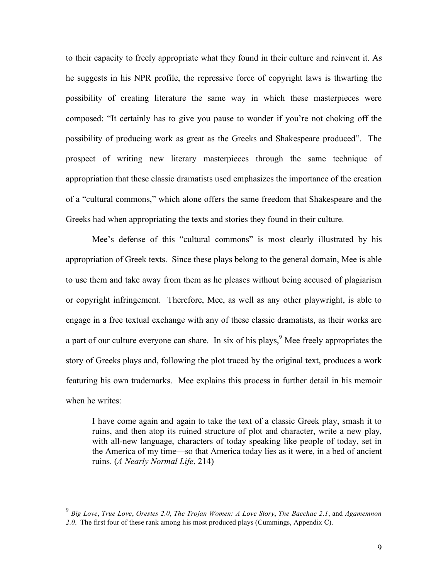to their capacity to freely appropriate what they found in their culture and reinvent it. As he suggests in his NPR profile, the repressive force of copyright laws is thwarting the possibility of creating literature the same way in which these masterpieces were composed: "It certainly has to give you pause to wonder if you're not choking off the possibility of producing work as great as the Greeks and Shakespeare produced". The prospect of writing new literary masterpieces through the same technique of appropriation that these classic dramatists used emphasizes the importance of the creation of a "cultural commons," which alone offers the same freedom that Shakespeare and the Greeks had when appropriating the texts and stories they found in their culture.

Mee's defense of this "cultural commons" is most clearly illustrated by his appropriation of Greek texts. Since these plays belong to the general domain, Mee is able to use them and take away from them as he pleases without being accused of plagiarism or copyright infringement. Therefore, Mee, as well as any other playwright, is able to engage in a free textual exchange with any of these classic dramatists, as their works are a part of our culture everyone can share. In six of his plays,<sup>9</sup> Mee freely appropriates the story of Greeks plays and, following the plot traced by the original text, produces a work featuring his own trademarks. Mee explains this process in further detail in his memoir when he writes:

I have come again and again to take the text of a classic Greek play, smash it to ruins, and then atop its ruined structure of plot and character, write a new play, with all-new language, characters of today speaking like people of today, set in the America of my time—so that America today lies as it were, in a bed of ancient ruins. (*A Nearly Normal Life*, 214)

 <sup>9</sup> *Big Love*, *True Love*, *Orestes 2.0*, *The Trojan Women: <sup>A</sup> Love Story*, *The Bacchae 2.1*, and *Agamemnon 2.0*. The first four of these rank among his most produced plays (Cummings, Appendix C).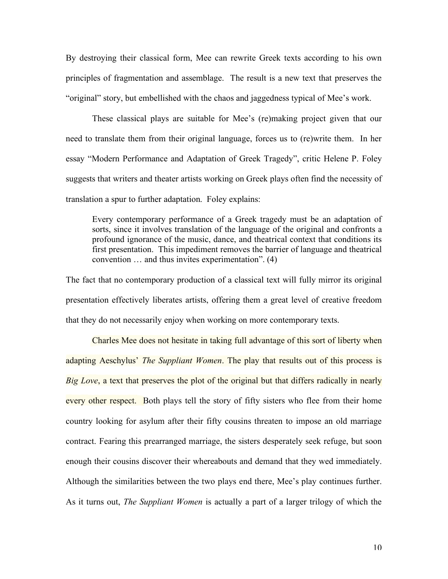By destroying their classical form, Mee can rewrite Greek texts according to his own principles of fragmentation and assemblage. The result is a new text that preserves the "original" story, but embellished with the chaos and jaggedness typical of Mee's work.

These classical plays are suitable for Mee's (re)making project given that our need to translate them from their original language, forces us to (re)write them. In her essay "Modern Performance and Adaptation of Greek Tragedy", critic Helene P. Foley suggests that writers and theater artists working on Greek plays often find the necessity of translation a spur to further adaptation. Foley explains:

Every contemporary performance of a Greek tragedy must be an adaptation of sorts, since it involves translation of the language of the original and confronts a profound ignorance of the music, dance, and theatrical context that conditions its first presentation. This impediment removes the barrier of language and theatrical convention … and thus invites experimentation". (4)

The fact that no contemporary production of a classical text will fully mirror its original presentation effectively liberates artists, offering them a great level of creative freedom that they do not necessarily enjoy when working on more contemporary texts.

Charles Mee does not hesitate in taking full advantage of this sort of liberty when adapting Aeschylus' *The Suppliant Women*. The play that results out of this process is *Big Love*, a text that preserves the plot of the original but that differs radically in nearly every other respect. Both plays tell the story of fifty sisters who flee from their home country looking for asylum after their fifty cousins threaten to impose an old marriage contract. Fearing this prearranged marriage, the sisters desperately seek refuge, but soon enough their cousins discover their whereabouts and demand that they wed immediately. Although the similarities between the two plays end there, Mee's play continues further. As it turns out, *The Suppliant Women* is actually a part of a larger trilogy of which the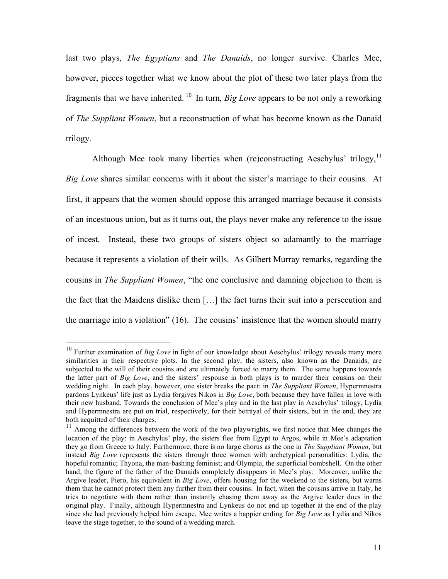last two plays, *The Egyptians* and *The Danaids*, no longer survive. Charles Mee, however, pieces together what we know about the plot of these two later plays from the fragments that we have inherited. <sup>10</sup> In turn, *Big Love* appears to be not only a reworking of *The Suppliant Women*, but a reconstruction of what has become known as the Danaid trilogy.

Although Mee took many liberties when (re)constructing Aeschylus' trilogy,<sup>11</sup> *Big Love* shares similar concerns with it about the sister's marriage to their cousins. At first, it appears that the women should oppose this arranged marriage because it consists of an incestuous union, but as it turns out, the plays never make any reference to the issue of incest. Instead, these two groups of sisters object so adamantly to the marriage because it represents a violation of their wills. As Gilbert Murray remarks, regarding the cousins in *The Suppliant Women*, "the one conclusive and damning objection to them is the fact that the Maidens dislike them […] the fact turns their suit into a persecution and the marriage into a violation" (16). The cousins' insistence that the women should marry

 <sup>10</sup> Further examination of *Big Love* in light of our knowledge about Aeschylus' trilogy reveals many more similarities in their respective plots. In the second play, the sisters, also known as the Danaids, are subjected to the will of their cousins and are ultimately forced to marry them. The same happens towards the latter part of *Big Love*, and the sisters' response in both plays is to murder their cousins on their wedding night. In each play, however, one sister breaks the pact: in *The Suppliant Women*, Hypermnestra pardons Lynkeus' life just as Lydia forgives Nikos in *Big Love*, both because they have fallen in love with their new husband. Towards the conclusion of Mee's play and in the last play in Aeschylus' trilogy, Lydia and Hypermnestra are put on trial, respectively, for their betrayal of their sisters, but in the end, they are

both acquitted of their charges.<br><sup>11</sup> Among the differences between the work of the two playwrights, we first notice that Mee changes the location of the play: in Aeschylus' play, the sisters flee from Egypt to Argos, while in Mee's adaptation they go from Greece to Italy. Furthermore, there is no large chorus as the one in *The Suppliant Women*, but instead *Big Love* represents the sisters through three women with archetypical personalities: Lydia, the hopeful romantic; Thyona, the man-bashing feminist; and Olympia, the superficial bombshell. On the other hand, the figure of the father of the Danaids completely disappears in Mee's play. Moreover, unlike the Argive leader, Piero, his equivalent in *Big Love*, offers housing for the weekend to the sisters, but warns them that he cannot protect them any further from their cousins. In fact, when the cousins arrive in Italy, he tries to negotiate with them rather than instantly chasing them away as the Argive leader does in the original play. Finally, although Hypermnestra and Lynkeus do not end up together at the end of the play since she had previously helped him escape, Mee writes a happier ending for *Big Love* as Lydia and Nikos leave the stage together, to the sound of a wedding march.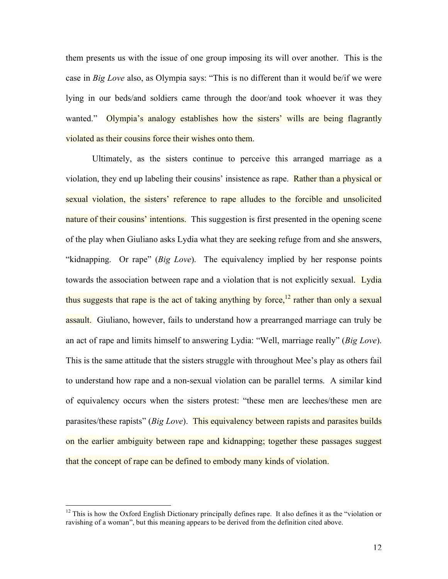them presents us with the issue of one group imposing its will over another. This is the case in *Big Love* also, as Olympia says: "This is no different than it would be/if we were lying in our beds/and soldiers came through the door/and took whoever it was they wanted." Olympia's analogy establishes how the sisters' wills are being flagrantly violated as their cousins force their wishes onto them.

Ultimately, as the sisters continue to perceive this arranged marriage as a violation, they end up labeling their cousins' insistence as rape. Rather than a physical or sexual violation, the sisters' reference to rape alludes to the forcible and unsolicited nature of their cousins' intentions. This suggestion is first presented in the opening scene of the play when Giuliano asks Lydia what they are seeking refuge from and she answers, "kidnapping. Or rape" (*Big Love*). The equivalency implied by her response points towards the association between rape and a violation that is not explicitly sexual. Lydia thus suggests that rape is the act of taking anything by force,<sup>12</sup> rather than only a sexual assault. Giuliano, however, fails to understand how a prearranged marriage can truly be an act of rape and limits himself to answering Lydia: "Well, marriage really" (*Big Love*). This is the same attitude that the sisters struggle with throughout Mee's play as others fail to understand how rape and a non-sexual violation can be parallel terms. A similar kind of equivalency occurs when the sisters protest: "these men are leeches/these men are parasites/these rapists" (*Big Love*). This equivalency between rapists and parasites builds on the earlier ambiguity between rape and kidnapping; together these passages suggest that the concept of rape can be defined to embody many kinds of violation.

 $12$  This is how the Oxford English Dictionary principally defines rape. It also defines it as the "violation or ravishing of a woman", but this meaning appears to be derived from the definition cited above.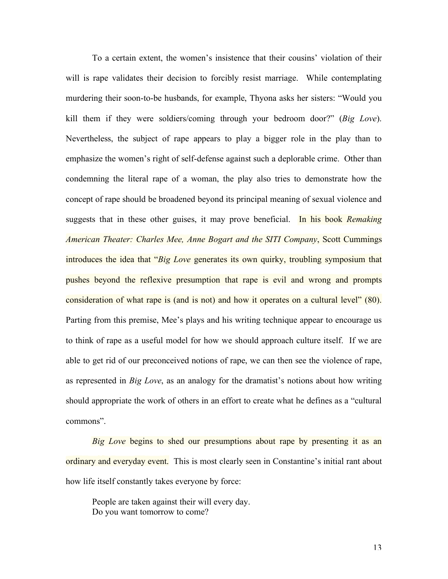To a certain extent, the women's insistence that their cousins' violation of their will is rape validates their decision to forcibly resist marriage. While contemplating murdering their soon-to-be husbands, for example, Thyona asks her sisters: "Would you kill them if they were soldiers/coming through your bedroom door?" (*Big Love*). Nevertheless, the subject of rape appears to play a bigger role in the play than to emphasize the women's right of self-defense against such a deplorable crime. Other than condemning the literal rape of a woman, the play also tries to demonstrate how the concept of rape should be broadened beyond its principal meaning of sexual violence and suggests that in these other guises, it may prove beneficial. In his book *Remaking American Theater: Charles Mee, Anne Bogart and the SITI Company*, Scott Cummings introduces the idea that "*Big Love* generates its own quirky, troubling symposium that pushes beyond the reflexive presumption that rape is evil and wrong and prompts consideration of what rape is (and is not) and how it operates on a cultural level" (80). Parting from this premise, Mee's plays and his writing technique appear to encourage us to think of rape as a useful model for how we should approach culture itself. If we are able to get rid of our preconceived notions of rape, we can then see the violence of rape, as represented in *Big Love*, as an analogy for the dramatist's notions about how writing should appropriate the work of others in an effort to create what he defines as a "cultural commons".

*Big Love* begins to shed our presumptions about rape by presenting it as an ordinary and everyday event. This is most clearly seen in Constantine's initial rant about how life itself constantly takes everyone by force:

People are taken against their will every day. Do you want tomorrow to come?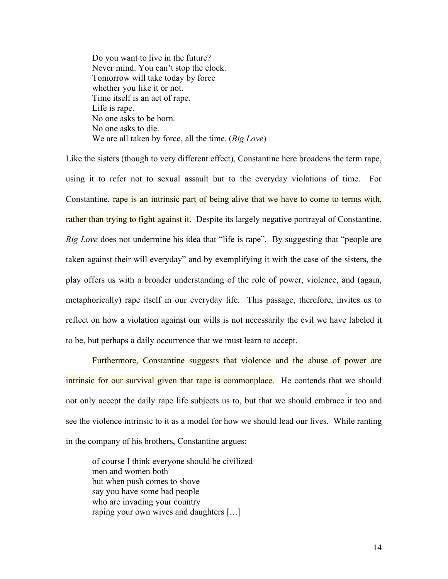Do you want to live in the future? Never mind. You can't stop the clock. Tomorrow will take today by force whether you like it or not. Time itself is an act of rape. Life is rape. No one asks to be born. No one asks to die. We are all taken by force, all the time. (*Big Love*)

Like the sisters (though to very different effect), Constantine here broadens the term rape, using it to refer not to sexual assault but to the everyday violations of time. For Constantine, rape is an intrinsic part of being alive that we have to come to terms with, rather than trying to fight against it. Despite its largely negative portrayal of Constantine, *Big Love* does not undermine his idea that "life is rape". By suggesting that "people are taken against their will everyday" and by exemplifying it with the case of the sisters, the play offers us with a broader understanding of the role of power, violence, and (again, metaphorically) rape itself in our everyday life. This passage, therefore, invites us to reflect on how a violation against our wills is not necessarily the evil we have labeled it to be, but perhaps a daily occurrence that we must learn to accept.

Furthermore, Constantine suggests that violence and the abuse of power are intrinsic for our survival given that rape is commonplace. He contends that we should not only accept the daily rape life subjects us to, but that we should embrace it too and see the violence intrinsic to it as a model for how we should lead our lives. While ranting in the company of his brothers, Constantine argues:

of course I think everyone should be civilized men and women both but when push comes to shove say you have some bad people who are invading your country raping your own wives and daughters […]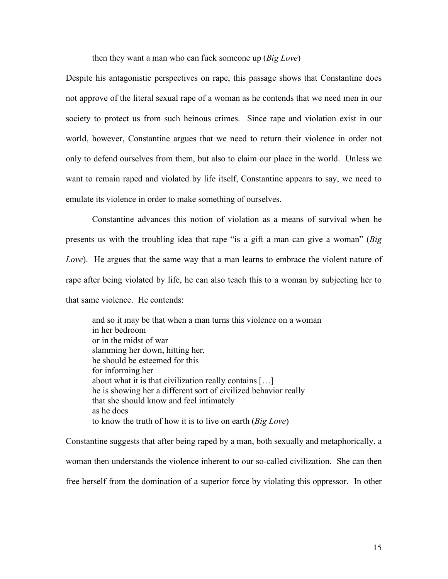then they want a man who can fuck someone up (*Big Love*)

Despite his antagonistic perspectives on rape, this passage shows that Constantine does not approve of the literal sexual rape of a woman as he contends that we need men in our society to protect us from such heinous crimes. Since rape and violation exist in our world, however, Constantine argues that we need to return their violence in order not only to defend ourselves from them, but also to claim our place in the world. Unless we want to remain raped and violated by life itself, Constantine appears to say, we need to emulate its violence in order to make something of ourselves.

Constantine advances this notion of violation as a means of survival when he presents us with the troubling idea that rape "is a gift a man can give a woman" (*Big Love*). He argues that the same way that a man learns to embrace the violent nature of rape after being violated by life, he can also teach this to a woman by subjecting her to that same violence. He contends:

and so it may be that when a man turns this violence on a woman in her bedroom or in the midst of war slamming her down, hitting her, he should be esteemed for this for informing her about what it is that civilization really contains […] he is showing her a different sort of civilized behavior really that she should know and feel intimately as he does to know the truth of how it is to live on earth (*Big Love*)

Constantine suggests that after being raped by a man, both sexually and metaphorically, a woman then understands the violence inherent to our so-called civilization. She can then free herself from the domination of a superior force by violating this oppressor. In other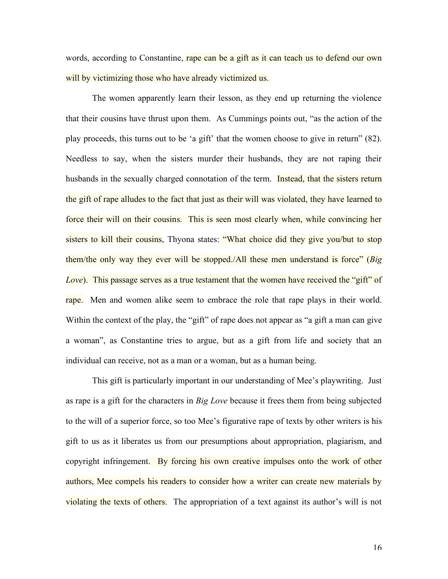words, according to Constantine, rape can be a gift as it can teach us to defend our own will by victimizing those who have already victimized us.

The women apparently learn their lesson, as they end up returning the violence that their cousins have thrust upon them. As Cummings points out, "as the action of the play proceeds, this turns out to be 'a gift' that the women choose to give in return" (82). Needless to say, when the sisters murder their husbands, they are not raping their husbands in the sexually charged connotation of the term. Instead, that the sisters return the gift of rape alludes to the fact that just as their will was violated, they have learned to force their will on their cousins. This is seen most clearly when, while convincing her sisters to kill their cousins, Thyona states: "What choice did they give you/but to stop them/the only way they ever will be stopped./All these men understand is force" (*Big Love*). This passage serves as a true testament that the women have received the "gift" of rape. Men and women alike seem to embrace the role that rape plays in their world. Within the context of the play, the "gift" of rape does not appear as "a gift a man can give a woman", as Constantine tries to argue, but as a gift from life and society that an individual can receive, not as a man or a woman, but as a human being.

This gift is particularly important in our understanding of Mee's playwriting. Just as rape is a gift for the characters in *Big Love* because it frees them from being subjected to the will of a superior force, so too Mee's figurative rape of texts by other writers is his gift to us as it liberates us from our presumptions about appropriation, plagiarism, and copyright infringement. By forcing his own creative impulses onto the work of other authors, Mee compels his readers to consider how a writer can create new materials by violating the texts of others. The appropriation of a text against its author's will is not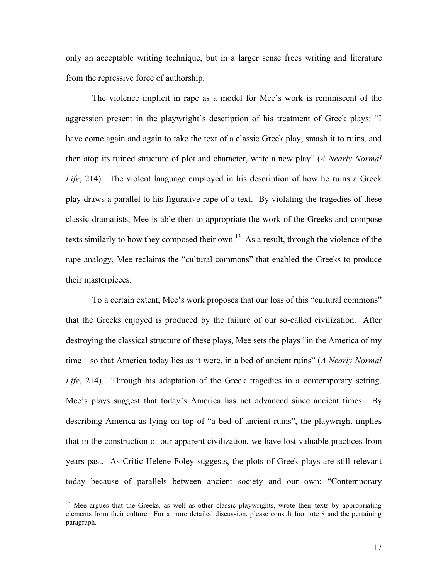only an acceptable writing technique, but in a larger sense frees writing and literature from the repressive force of authorship.

The violence implicit in rape as a model for Mee's work is reminiscent of the aggression present in the playwright's description of his treatment of Greek plays: "I have come again and again to take the text of a classic Greek play, smash it to ruins, and then atop its ruined structure of plot and character, write a new play" (*A Nearly Normal Life*, 214). The violent language employed in his description of how he ruins a Greek play draws a parallel to his figurative rape of a text. By violating the tragedies of these classic dramatists, Mee is able then to appropriate the work of the Greeks and compose texts similarly to how they composed their own.<sup>13</sup> As a result, through the violence of the rape analogy, Mee reclaims the "cultural commons" that enabled the Greeks to produce their masterpieces.

To a certain extent, Mee's work proposes that our loss of this "cultural commons" that the Greeks enjoyed is produced by the failure of our so-called civilization. After destroying the classical structure of these plays, Mee sets the plays "in the America of my time—so that America today lies as it were, in a bed of ancient ruins" (*A Nearly Normal Life*, 214). Through his adaptation of the Greek tragedies in a contemporary setting, Mee's plays suggest that today's America has not advanced since ancient times. By describing America as lying on top of "a bed of ancient ruins", the playwright implies that in the construction of our apparent civilization, we have lost valuable practices from years past. As Critic Helene Foley suggests, the plots of Greek plays are still relevant today because of parallels between ancient society and our own: "Contemporary

<sup>&</sup>lt;sup>13</sup> Mee argues that the Greeks, as well as other classic playwrights, wrote their texts by appropriating elements from their culture. For a more detailed discussion, please consult footnote 8 and the pertaining paragraph.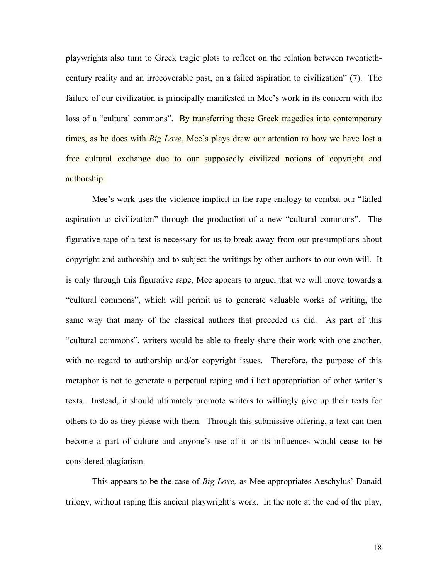playwrights also turn to Greek tragic plots to reflect on the relation between twentiethcentury reality and an irrecoverable past, on a failed aspiration to civilization" (7). The failure of our civilization is principally manifested in Mee's work in its concern with the loss of a "cultural commons". By transferring these Greek tragedies into contemporary times, as he does with *Big Love*, Mee's plays draw our attention to how we have lost a free cultural exchange due to our supposedly civilized notions of copyright and authorship.

Mee's work uses the violence implicit in the rape analogy to combat our "failed aspiration to civilization" through the production of a new "cultural commons". The figurative rape of a text is necessary for us to break away from our presumptions about copyright and authorship and to subject the writings by other authors to our own will. It is only through this figurative rape, Mee appears to argue, that we will move towards a "cultural commons", which will permit us to generate valuable works of writing, the same way that many of the classical authors that preceded us did. As part of this "cultural commons", writers would be able to freely share their work with one another, with no regard to authorship and/or copyright issues. Therefore, the purpose of this metaphor is not to generate a perpetual raping and illicit appropriation of other writer's texts. Instead, it should ultimately promote writers to willingly give up their texts for others to do as they please with them. Through this submissive offering, a text can then become a part of culture and anyone's use of it or its influences would cease to be considered plagiarism.

This appears to be the case of *Big Love,* as Mee appropriates Aeschylus' Danaid trilogy, without raping this ancient playwright's work. In the note at the end of the play,

18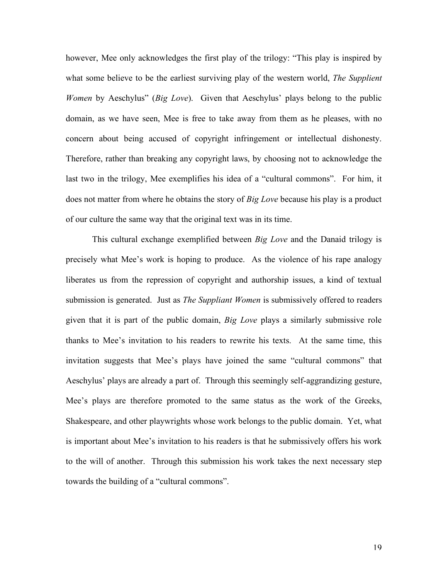however, Mee only acknowledges the first play of the trilogy: "This play is inspired by what some believe to be the earliest surviving play of the western world, *The Supplient Women* by Aeschylus" (*Big Love*). Given that Aeschylus' plays belong to the public domain, as we have seen, Mee is free to take away from them as he pleases, with no concern about being accused of copyright infringement or intellectual dishonesty. Therefore, rather than breaking any copyright laws, by choosing not to acknowledge the last two in the trilogy, Mee exemplifies his idea of a "cultural commons". For him, it does not matter from where he obtains the story of *Big Love* because his play is a product of our culture the same way that the original text was in its time.

This cultural exchange exemplified between *Big Love* and the Danaid trilogy is precisely what Mee's work is hoping to produce. As the violence of his rape analogy liberates us from the repression of copyright and authorship issues, a kind of textual submission is generated. Just as *The Suppliant Women* is submissively offered to readers given that it is part of the public domain, *Big Love* plays a similarly submissive role thanks to Mee's invitation to his readers to rewrite his texts. At the same time, this invitation suggests that Mee's plays have joined the same "cultural commons" that Aeschylus' plays are already a part of. Through this seemingly self-aggrandizing gesture, Mee's plays are therefore promoted to the same status as the work of the Greeks, Shakespeare, and other playwrights whose work belongs to the public domain. Yet, what is important about Mee's invitation to his readers is that he submissively offers his work to the will of another. Through this submission his work takes the next necessary step towards the building of a "cultural commons".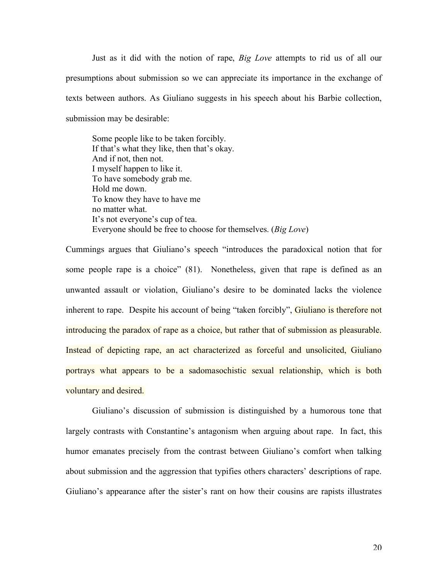Just as it did with the notion of rape, *Big Love* attempts to rid us of all our presumptions about submission so we can appreciate its importance in the exchange of texts between authors. As Giuliano suggests in his speech about his Barbie collection, submission may be desirable:

Some people like to be taken forcibly. If that's what they like, then that's okay. And if not, then not. I myself happen to like it. To have somebody grab me. Hold me down. To know they have to have me no matter what. It's not everyone's cup of tea. Everyone should be free to choose for themselves. (*Big Love*)

Cummings argues that Giuliano's speech "introduces the paradoxical notion that for some people rape is a choice" (81). Nonetheless, given that rape is defined as an unwanted assault or violation, Giuliano's desire to be dominated lacks the violence inherent to rape. Despite his account of being "taken forcibly", Giuliano is therefore not introducing the paradox of rape as a choice, but rather that of submission as pleasurable. Instead of depicting rape, an act characterized as forceful and unsolicited, Giuliano portrays what appears to be a sadomasochistic sexual relationship, which is both voluntary and desired.

Giuliano's discussion of submission is distinguished by a humorous tone that largely contrasts with Constantine's antagonism when arguing about rape. In fact, this humor emanates precisely from the contrast between Giuliano's comfort when talking about submission and the aggression that typifies others characters' descriptions of rape. Giuliano's appearance after the sister's rant on how their cousins are rapists illustrates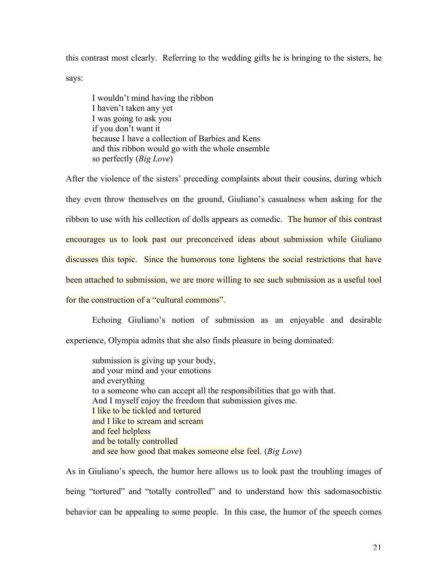this contrast most clearly. Referring to the wedding gifts he is bringing to the sisters, he says:

I wouldn't mind having the ribbon I haven't taken any yet I was going to ask you if you don't want it because I have a collection of Barbies and Kens and this ribbon would go with the whole ensemble so perfectly (*Big Love*)

After the violence of the sisters' preceding complaints about their cousins, during which they even throw themselves on the ground, Giuliano's casualness when asking for the ribbon to use with his collection of dolls appears as comedic. The humor of this contrast encourages us to look past our preconceived ideas about submission while Giuliano discusses this topic. Since the humorous tone lightens the social restrictions that have been attached to submission, we are more willing to see such submission as a useful tool for the construction of a "cultural commons".

Echoing Giuliano's notion of submission as an enjoyable and desirable experience, Olympia admits that she also finds pleasure in being dominated:

submission is giving up your body, and your mind and your emotions and everything to a someone who can accept all the responsibilities that go with that. And I myself enjoy the freedom that submission gives me. I like to be tickled and tortured and I like to scream and scream and feel helpless and be totally controlled and see how good that makes someone else feel. (*Big Love*)

As in Giuliano's speech, the humor here allows us to look past the troubling images of being "tortured" and "totally controlled" and to understand how this sadomasochistic behavior can be appealing to some people. In this case, the humor of the speech comes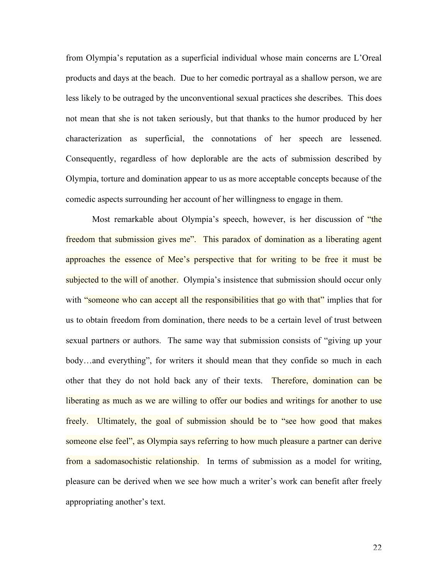from Olympia's reputation as a superficial individual whose main concerns are L'Oreal products and days at the beach. Due to her comedic portrayal as a shallow person, we are less likely to be outraged by the unconventional sexual practices she describes. This does not mean that she is not taken seriously, but that thanks to the humor produced by her characterization as superficial, the connotations of her speech are lessened. Consequently, regardless of how deplorable are the acts of submission described by Olympia, torture and domination appear to us as more acceptable concepts because of the comedic aspects surrounding her account of her willingness to engage in them.

Most remarkable about Olympia's speech, however, is her discussion of "the freedom that submission gives me". This paradox of domination as a liberating agent approaches the essence of Mee's perspective that for writing to be free it must be subjected to the will of another. Olympia's insistence that submission should occur only with "someone who can accept all the responsibilities that go with that" implies that for us to obtain freedom from domination, there needs to be a certain level of trust between sexual partners or authors. The same way that submission consists of "giving up your body…and everything", for writers it should mean that they confide so much in each other that they do not hold back any of their texts. Therefore, domination can be liberating as much as we are willing to offer our bodies and writings for another to use freely. Ultimately, the goal of submission should be to "see how good that makes someone else feel", as Olympia says referring to how much pleasure a partner can derive from a sadomasochistic relationship. In terms of submission as a model for writing, pleasure can be derived when we see how much a writer's work can benefit after freely appropriating another's text.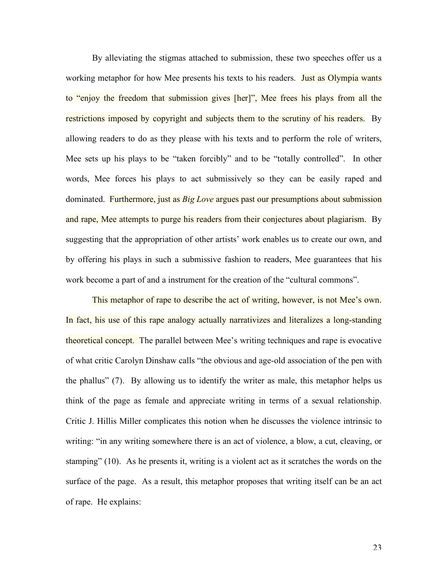By alleviating the stigmas attached to submission, these two speeches offer us a working metaphor for how Mee presents his texts to his readers. Just as Olympia wants to "enjoy the freedom that submission gives [her]", Mee frees his plays from all the restrictions imposed by copyright and subjects them to the scrutiny of his readers. By allowing readers to do as they please with his texts and to perform the role of writers, Mee sets up his plays to be "taken forcibly" and to be "totally controlled". In other words, Mee forces his plays to act submissively so they can be easily raped and dominated. Furthermore, just as *Big Love* argues past our presumptions about submission and rape, Mee attempts to purge his readers from their conjectures about plagiarism. By suggesting that the appropriation of other artists' work enables us to create our own, and by offering his plays in such a submissive fashion to readers, Mee guarantees that his work become a part of and a instrument for the creation of the "cultural commons".

This metaphor of rape to describe the act of writing, however, is not Mee's own. In fact, his use of this rape analogy actually narrativizes and literalizes a long-standing theoretical concept. The parallel between Mee's writing techniques and rape is evocative of what critic Carolyn Dinshaw calls "the obvious and age-old association of the pen with the phallus" (7). By allowing us to identify the writer as male, this metaphor helps us think of the page as female and appreciate writing in terms of a sexual relationship. Critic J. Hillis Miller complicates this notion when he discusses the violence intrinsic to writing: "in any writing somewhere there is an act of violence, a blow, a cut, cleaving, or stamping" (10). As he presents it, writing is a violent act as it scratches the words on the surface of the page. As a result, this metaphor proposes that writing itself can be an act of rape. He explains: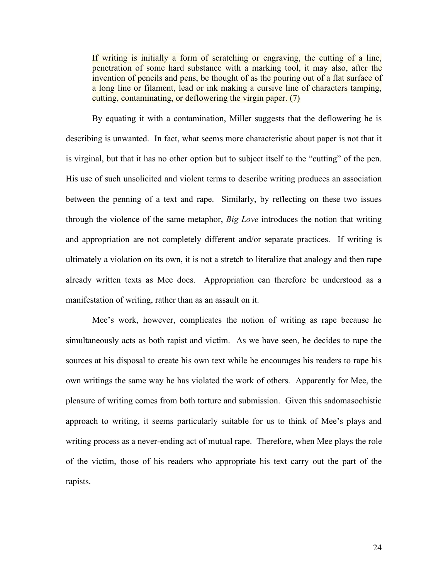If writing is initially a form of scratching or engraving, the cutting of a line, penetration of some hard substance with a marking tool, it may also, after the invention of pencils and pens, be thought of as the pouring out of a flat surface of a long line or filament, lead or ink making a cursive line of characters tamping, cutting, contaminating, or deflowering the virgin paper. (7)

By equating it with a contamination, Miller suggests that the deflowering he is describing is unwanted. In fact, what seems more characteristic about paper is not that it is virginal, but that it has no other option but to subject itself to the "cutting" of the pen. His use of such unsolicited and violent terms to describe writing produces an association between the penning of a text and rape. Similarly, by reflecting on these two issues through the violence of the same metaphor, *Big Love* introduces the notion that writing and appropriation are not completely different and/or separate practices. If writing is ultimately a violation on its own, it is not a stretch to literalize that analogy and then rape already written texts as Mee does. Appropriation can therefore be understood as a manifestation of writing, rather than as an assault on it.

Mee's work, however, complicates the notion of writing as rape because he simultaneously acts as both rapist and victim. As we have seen, he decides to rape the sources at his disposal to create his own text while he encourages his readers to rape his own writings the same way he has violated the work of others. Apparently for Mee, the pleasure of writing comes from both torture and submission. Given this sadomasochistic approach to writing, it seems particularly suitable for us to think of Mee's plays and writing process as a never-ending act of mutual rape. Therefore, when Mee plays the role of the victim, those of his readers who appropriate his text carry out the part of the rapists.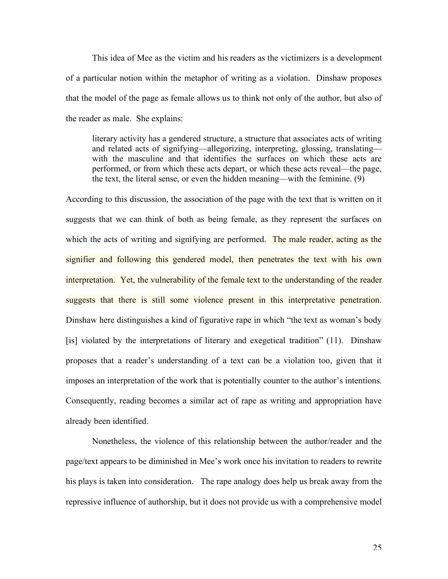This idea of Mee as the victim and his readers as the victimizers is a development of a particular notion within the metaphor of writing as a violation. Dinshaw proposes that the model of the page as female allows us to think not only of the author, but also of the reader as male. She explains:

literary activity has a gendered structure, a structure that associates acts of writing and related acts of signifying—allegorizing, interpreting, glossing, translating with the masculine and that identifies the surfaces on which these acts are performed, or from which these acts depart, or which these acts reveal—the page, the text, the literal sense, or even the hidden meaning—with the feminine. (9)

According to this discussion, the association of the page with the text that is written on it suggests that we can think of both as being female, as they represent the surfaces on which the acts of writing and signifying are performed. The male reader, acting as the signifier and following this gendered model, then penetrates the text with his own interpretation. Yet, the vulnerability of the female text to the understanding of the reader suggests that there is still some violence present in this interpretative penetration. Dinshaw here distinguishes a kind of figurative rape in which "the text as woman's body [is] violated by the interpretations of literary and exegetical tradition" (11). Dinshaw proposes that a reader's understanding of a text can be a violation too, given that it imposes an interpretation of the work that is potentially counter to the author's intentions. Consequently, reading becomes a similar act of rape as writing and appropriation have already been identified.

Nonetheless, the violence of this relationship between the author/reader and the page/text appears to be diminished in Mee's work once his invitation to readers to rewrite his plays is taken into consideration. The rape analogy does help us break away from the repressive influence of authorship, but it does not provide us with a comprehensive model

25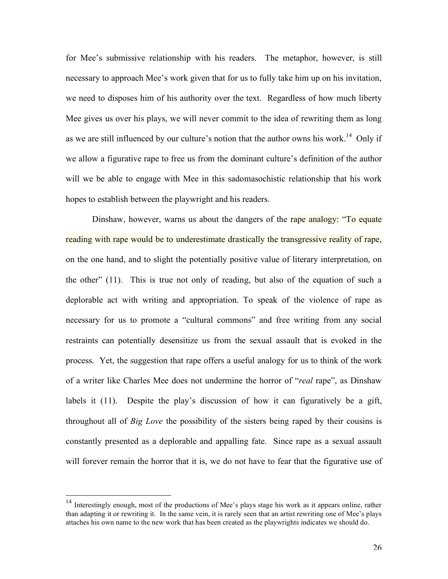for Mee's submissive relationship with his readers. The metaphor, however, is still necessary to approach Mee's work given that for us to fully take him up on his invitation, we need to disposes him of his authority over the text. Regardless of how much liberty Mee gives us over his plays, we will never commit to the idea of rewriting them as long as we are still influenced by our culture's notion that the author owns his work.<sup>14</sup> Only if we allow a figurative rape to free us from the dominant culture's definition of the author will we be able to engage with Mee in this sadomasochistic relationship that his work hopes to establish between the playwright and his readers.

Dinshaw, however, warns us about the dangers of the rape analogy: "To equate reading with rape would be to underestimate drastically the transgressive reality of rape, on the one hand, and to slight the potentially positive value of literary interpretation, on the other" (11). This is true not only of reading, but also of the equation of such a deplorable act with writing and appropriation. To speak of the violence of rape as necessary for us to promote a "cultural commons" and free writing from any social restraints can potentially desensitize us from the sexual assault that is evoked in the process. Yet, the suggestion that rape offers a useful analogy for us to think of the work of a writer like Charles Mee does not undermine the horror of "*real* rape", as Dinshaw labels it (11). Despite the play's discussion of how it can figuratively be a gift, throughout all of *Big Love* the possibility of the sisters being raped by their cousins is constantly presented as a deplorable and appalling fate. Since rape as a sexual assault will forever remain the horror that it is, we do not have to fear that the figurative use of

<sup>&</sup>lt;sup>14</sup> Interestingly enough, most of the productions of Mee's plays stage his work as it appears online, rather than adapting it or rewriting it. In the same vein, it is rarely seen that an artist rewriting one of Mee's plays attaches his own name to the new work that has been created as the playwrights indicates we should do.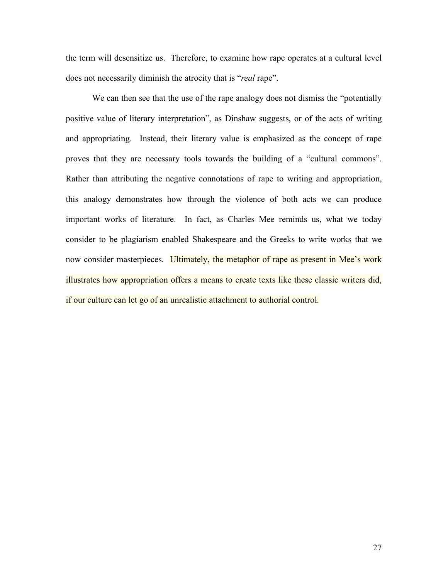the term will desensitize us. Therefore, to examine how rape operates at a cultural level does not necessarily diminish the atrocity that is "*real* rape".

We can then see that the use of the rape analogy does not dismiss the "potentially" positive value of literary interpretation", as Dinshaw suggests, or of the acts of writing and appropriating. Instead, their literary value is emphasized as the concept of rape proves that they are necessary tools towards the building of a "cultural commons". Rather than attributing the negative connotations of rape to writing and appropriation, this analogy demonstrates how through the violence of both acts we can produce important works of literature. In fact, as Charles Mee reminds us, what we today consider to be plagiarism enabled Shakespeare and the Greeks to write works that we now consider masterpieces. Ultimately, the metaphor of rape as present in Mee's work illustrates how appropriation offers a means to create texts like these classic writers did, if our culture can let go of an unrealistic attachment to authorial control.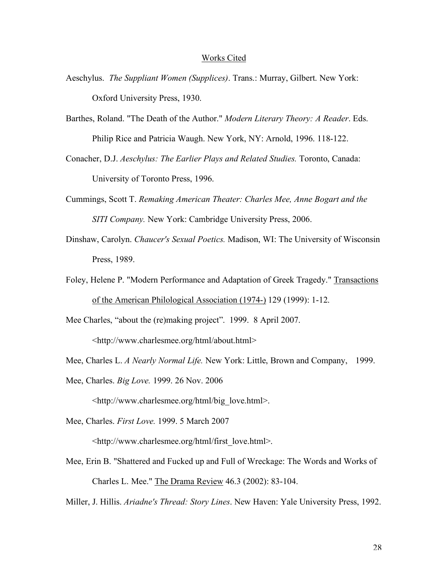## Works Cited

- Aeschylus. *The Suppliant Women (Supplices)*. Trans.: Murray, Gilbert. New York: Oxford University Press, 1930.
- Barthes, Roland. "The Death of the Author." *Modern Literary Theory: A Reader*. Eds. Philip Rice and Patricia Waugh. New York, NY: Arnold, 1996. 118-122.
- Conacher, D.J. *Aeschylus: The Earlier Plays and Related Studies.* Toronto, Canada: University of Toronto Press, 1996.
- Cummings, Scott T. *Remaking American Theater: Charles Mee, Anne Bogart and the SITI Company.* New York: Cambridge University Press, 2006.
- Dinshaw, Carolyn. *Chaucer's Sexual Poetics.* Madison, WI: The University of Wisconsin Press, 1989.
- Foley, Helene P. "Modern Performance and Adaptation of Greek Tragedy." Transactions of the American Philological Association (1974-) 129 (1999): 1-12.

Mee Charles, "about the (re)making project". 1999. 8 April 2007.

<http://www.charlesmee.org/html/about.html>

Mee, Charles L. *A Nearly Normal Life.* New York: Little, Brown and Company, 1999.

Mee, Charles. *Big Love.* 1999. 26 Nov. 2006

<http://www.charlesmee.org/html/big\_love.html>.

Mee, Charles. *First Love.* 1999. 5 March 2007

<http://www.charlesmee.org/html/first\_love.html>.

Mee, Erin B. "Shattered and Fucked up and Full of Wreckage: The Words and Works of Charles L. Mee." The Drama Review 46.3 (2002): 83-104.

Miller, J. Hillis. *Ariadne's Thread: Story Lines*. New Haven: Yale University Press, 1992.